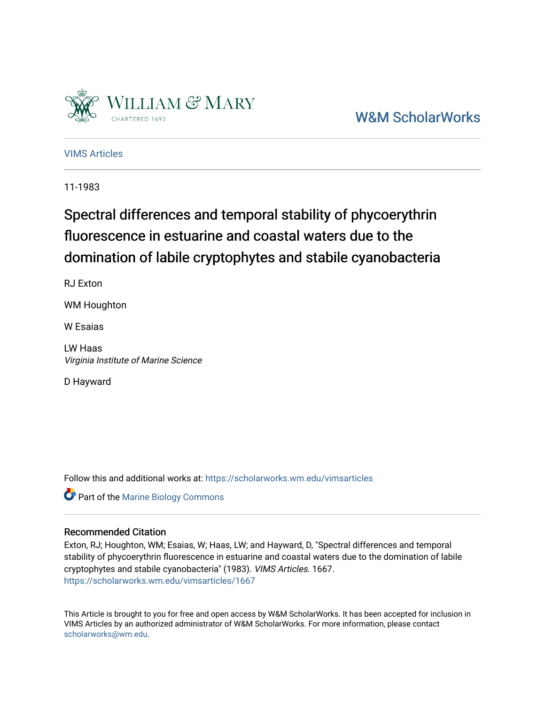

[W&M ScholarWorks](https://scholarworks.wm.edu/) 

[VIMS Articles](https://scholarworks.wm.edu/vimsarticles)

11-1983

## Spectral differences and temporal stability of phycoerythrin fluorescence in estuarine and coastal waters due to the domination of labile cryptophytes and stabile cyanobacteria

RJ Exton

WM Houghton

W Esaias

LW Haas Virginia Institute of Marine Science

D Hayward

Follow this and additional works at: [https://scholarworks.wm.edu/vimsarticles](https://scholarworks.wm.edu/vimsarticles?utm_source=scholarworks.wm.edu%2Fvimsarticles%2F1667&utm_medium=PDF&utm_campaign=PDFCoverPages)

**Part of the Marine Biology Commons** 

## Recommended Citation

Exton, RJ; Houghton, WM; Esaias, W; Haas, LW; and Hayward, D, "Spectral differences and temporal stability of phycoerythrin fluorescence in estuarine and coastal waters due to the domination of labile cryptophytes and stabile cyanobacteria" (1983). VIMS Articles. 1667. [https://scholarworks.wm.edu/vimsarticles/1667](https://scholarworks.wm.edu/vimsarticles/1667?utm_source=scholarworks.wm.edu%2Fvimsarticles%2F1667&utm_medium=PDF&utm_campaign=PDFCoverPages) 

This Article is brought to you for free and open access by W&M ScholarWorks. It has been accepted for inclusion in VIMS Articles by an authorized administrator of W&M ScholarWorks. For more information, please contact [scholarworks@wm.edu.](mailto:scholarworks@wm.edu)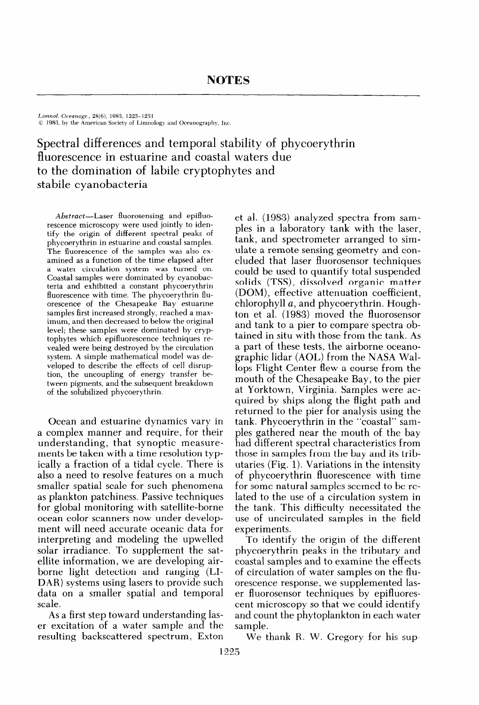Limnol, Oceanogr., 28(6), 1983, 1225-1231  $©$  1983, by the American Society of Limnology and Oceanography, Inc.

Spectral differences and temporal stability of phycoerythrin fluorescence in estuarine and coastal waters due to the domination of labile cryptophytes and stabile cyanobacteria

Abstract-Laser fluorosensing and epifluorescence microscopy were used jointly to identify the origin of different spectral peaks of phycoerythrin in estuarine and coastal samples. The fluorescence of the samples was also examined as a function of the time elapsed after a water circulation system was turned on. Coastal samples were dominated by cyanobacteria and exhibited a constant phycoerythrin fluorescence with time. The phycoerythrin fluorescence of the Chesapeake Bay estuarine samples first increased strongly, reached a maximum, and then decreased to below the original level; these samples were dominated by cryptophytes which epifluorescence techniques revealed were being destroyed by the circulation system. A simple mathematical model was developed to describe the effects of cell disruption, the uncoupling of energy transfer between pigments, and the subsequent breakdown of the solubilized phycoerythrin.

Ocean and estuarine dynamics vary in a complex manner and require, for their understanding, that synoptic measurements be taken with a time resolution typically a fraction of a tidal cycle. There is also a need to resolve features on a much smaller spatial scale for such phenomena as plankton patchiness. Passive techniques for global monitoring with satellite-borne ocean color scanners now under development will need accurate oceanic data for interpreting and modeling the upwelled solar irradiance. To supplement the satellite information, we are developing airborne light detection and ranging (LI-DAR) systems using lasers to provide such data on a smaller spatial and temporal scale.

As a first step toward understanding laser excitation of a water sample and the resulting backscattered spectrum, Exton et al. (1983) analyzed spectra from samples in a laboratory tank with the laser, tank, and spectrometer arranged to simulate a remote sensing geometry and concluded that laser fluorosensor techniques could be used to quantify total suspended solids (TSS), dissolved organic matter (DOM), effective attenuation coefficient, chlorophyll a, and phycoerythrin. Houghton et al. (1983) moved the fluorosensor and tank to a pier to compare spectra obtained in situ with those from the tank. As a part of these tests, the airborne oceanographic lidar (AOL) from the NASA Wallops Flight Center flew a course from the mouth of the Chesapeake Bay, to the pier at Yorktown, Virginia. Samples were acquired by ships along the flight path and returned to the pier for analysis using the tank. Phycoerythrin in the "coastal" samples gathered near the mouth of the bay had different spectral characteristics from those in samples from the bay and its tributaries (Fig. 1). Variations in the intensity of phycoerythrin fluorescence with time for some natural samples seemed to be related to the use of a circulation system in the tank. This difficulty necessitated the use of uncirculated samples in the field experiments.

To identify the origin of the different phycoerythrin peaks in the tributary and coastal samples and to examine the effects of circulation of water samples on the fluorescence response, we supplemented laser fluorosensor techniques by epifluorescent microscopy so that we could identify and count the phytoplankton in each water sample.

We thank R. W. Gregory for his sup-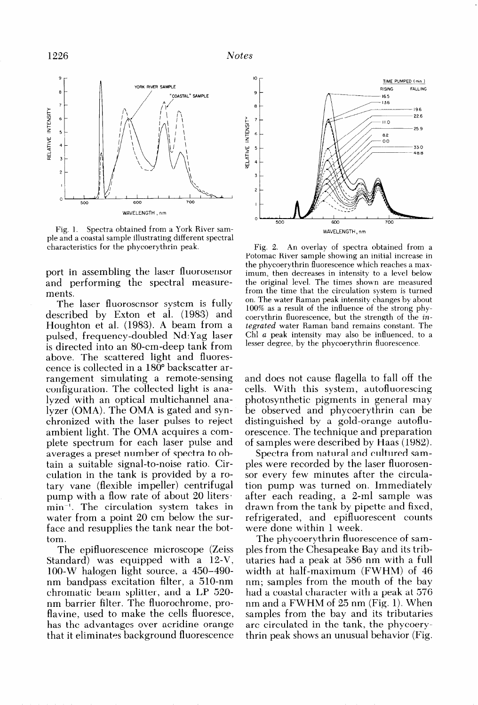

Fig. 1. Spectra obtained from a York River sample and a coastal sample illustrating different spectral characteristics for the phycoerythrin peak.

port in assembling the laser fluorosensor and performing the spectral measurements.

The laser fluorosensor system is fully described by Exton et al. (1983) and Houghton et al. (1983). A beam from a pulsed, frequency -doubled Nd: Y ag laser is directed into an 80-cm-deep tank from above. The scattered light and fluorescence is collected in a 180" backscatter arrangement simulating a remote-sensing configuration. The collected light is analyzed with an optical multichannel analyzer (OMA). The OMA is gated and synchronized with the laser pulses to reject ambient light. The OMA acquires a complete spectrum for each laser pulse and averages a preset number of spectra to obtain a suitable signal-to-noise ratio. Circulation in the tank is provided by a rotary vane (flexible impeller) centrifugal pump with a flow rate of about 20 liters. min<sup>-1</sup>. The circulation system takes in water from a point 20 cm below the surface and resupplies the tank near the bottom.

The epifluorescence microscope (Zeiss Standard) was equipped with a 12-V, 100-W halogen light source, a 450-490 nm bandpass excitation filter, a 510-nm chromatic beam splitter, and a LP 520 nm barrier filter. The fluorochrome, proflavine, used to make the cells fluoresce, has the advantages over acridine orange that it eliminates background fluorescence



Fig. 2. An overlay of spectra obtained from a Potomac River sample showing an initial increase in the phycoerythrin fluorescence which reaches a maximum, then decreases in intensity to a level below the original level. The times shown are measured from the time that the circulation system is turned on. The water Raman peak intensity changes by about 100% as a result of the influence of the strong phycoerythrin fluorescence, but the strength of the integrated water Raman band remains constant. The Chl a peak intensity may also be influenced, to a lesser degree, by the phycoerythrin fluorescence.

and does not cause flagella to fall off the cells. With this system, autofluorescing photosynthetic pigments in general may be observed and phycoerythrin can be distinguished by a gold-orange autofluorescence. The technique and preparation of samples were described by Haas (1982).

Spectra from natural and cultured samples were recorded by the laser fluorosensor every few minutes after the circulation pump was turned on. Immediately after each reading, a 2-ml sample was drawn from the tank by pipette and fixed, refrigerated, and epifluorescent counts were done within 1 week.

The phycoerythrin fluorescence of samples from the Chesapeake Bay and its tributaries had a peak at 586 nm with a full width at half-maximum (FWHM) of 46 nm; samples from the mouth of the bay had a coastal character with a peak at 576 nm and a FWHM of 25 nm (Fig. 1). When samples from the bay and its tributaries are circulated in the tank, the phycoerythrin peak shows an unusual behavior (Fig.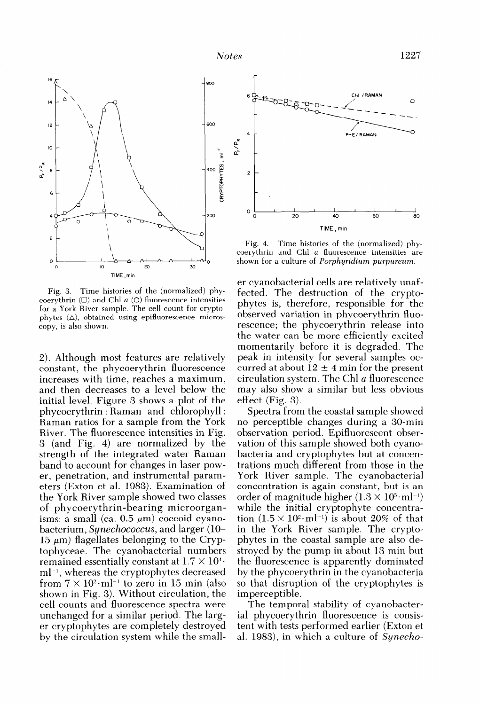

Fig. 3. Time histories of the (normalized) phycoerythrin  $(\Box)$  and Chl  $a$  (O) fluorescence intensities for a York River sample. The cell count for cryptophytes  $(\Delta)$ , obtained using epifluorescence microscopy, is also shown.

2). Although most features are relatively constant, the phycoerythrin fluorescence increases with time, reaches a maximum, and then decreases to a level below the initial level. Figure 3 shows a plot of the phycoerythrin ?Raman and chlorophyll : Raman ratios for a sample from the York River. The fluorescence intensities in Fig. 3 (and Fig. 4) are normalized by the strength of the integrated water Raman band to account for changes in laser power, penetration, and instrumental parameters (Exton et al. 1983). Examination of the York River sample showed two classes of phycoerythrin-bearing microorganisms: a small (ca.  $0.5 \mu m$ ) coccoid cyanobacterium, Synechococcus, and larger (10– 15  $\mu$ m) flagellates belonging to the Cryptophyceae. The cyanobacterial numbers remained essentially constant at  $1.7 \times 10^{4}$ . ml-', whereas the cryptophytes decreased from  $7 \times 10^{2} \cdot \text{m}^{-1}$  to zero in 15 min (also shown in Fig. 3). Without circulation, the cell counts and fluorescence spectra were unchanged for a similar period. The larger cryptophytes are completely destroyed by the circulation system while the small-



Fig. 4. Time histories of the (normalized) phycoerythrin and Chl a fluorescence intensities are shown for a culture of Porphyridium purpureum.

er cyanobacterial cells are relatively unaffected. The destruction of the cryptophytes is, therefore, responsible for the observed variation in phycoerythrin fluorescence; the phycoerythrin release into the water can be more efficiently excited momentarily before it is degraded. The peak in intensity for several samples occurred at about  $12 \pm 4$  min for the present circulation system. The Chl a fluorescence may also show a similar but less obvious effect (Fig. 3).

Spectra from the coastal sample showed no perceptible changes during a 30-min observation period. Epifluorescent observation of this sample showed both cyanobacteria and cryptophytes but at concentrations much different from those in the York River sample. The cyanobacterial concentration is again constant, but is an order of magnitude higher  $(1.3 \times 10^{5} \cdot \text{m}^{-1})$ while the initial cryptophyte concentration  $(1.5 \times 10^{2} \cdot \text{m}^{1-1})$  is about 20% of that in the York River sample. The cryptophytes in the coastal sample are also destroyed by the pump in about 13 min but the fluorescence is apparently dominated by the phycoerythrin in the cyanobacteria so that disruption of the cryptophytes is imperceptible.

The temporal stability of cyanobacterial phycoerythrin fluorescence is consistent with tests performed earlier (Exton et al. 1983), in which a culture of Synecho-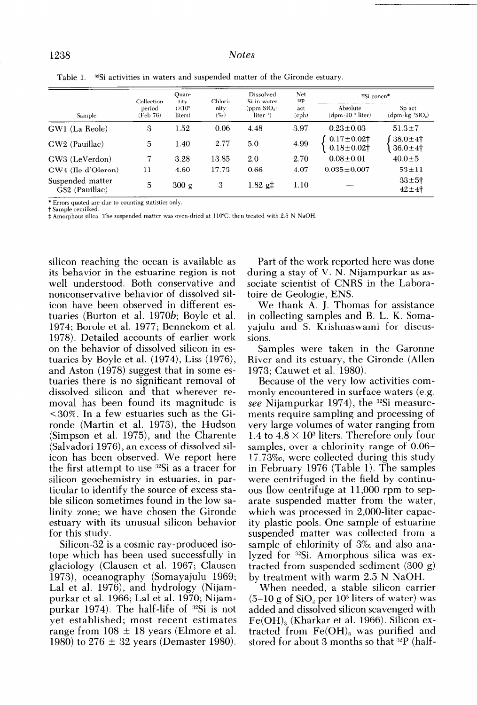| Sample                             | Collection<br>period<br>(Feb 76) | Quan-<br>tity.<br>$(\times 10^3$<br>liters) | Chlori-<br>nity<br>$(\% \epsilon)$ | Dissolved<br>Si in water<br>(ppm $SiO2$ .<br>$liter^{-1}$ | Net<br>32P<br>act<br>(cph) | $32Si$ concn*                           |                                      |
|------------------------------------|----------------------------------|---------------------------------------------|------------------------------------|-----------------------------------------------------------|----------------------------|-----------------------------------------|--------------------------------------|
|                                    |                                  |                                             |                                    |                                                           |                            | Absolute<br>$(dpm \cdot 10^{-3}$ liter) | Sp act<br>$(dpm \cdot kg^{-1}SiO_2)$ |
| GW1 (La Reole)                     | 3                                | 1.52                                        | 0.06                               | 4.48                                                      | 3.97                       | $0.23 \pm 0.03$                         | $51.3 \pm 7$                         |
| GW2 (Pauillac)                     | 5                                | 1.40                                        | 2.77                               | 5.0                                                       | 4.99                       | $0.17 \pm 0.02$ †<br>$0.18 + 0.02$ †    | $38.0 \pm 41$<br>$36.0 \pm 4$        |
| GW3 (LeVerdon)                     | 7                                | 3.28                                        | 13.85                              | 2.0                                                       | 2.70                       | $0.08 \pm 0.01$                         | $40.0 \pm 5$                         |
| GW4 (Ile d'Oleron)                 | 11                               | 4.60                                        | 17.73                              | 0.66                                                      | 4.07                       | $0.035 \pm 0.007$                       | $53 + 11$                            |
| Suspended matter<br>GS2 (Pauillac) | 5                                | 300 g                                       | 3                                  | $1.82 \text{ g}$ ‡                                        | 1.10                       |                                         | $33 + 51$<br>$42 \pm 41$             |

Table 1. 32Si activities in waters and suspended matter of the Gironde estuary.

\* Errors quoted are due to counting statistics only.

t Sample remilked

 $\ddagger$  Amorphous silica. The suspended matter was oven-dried at 110°C, then treated with 2.5 N NaOH.

silicon reaching the ocean is available as its behavior in the estuarine region is not well understood. Both conservative and nonconservative behavior of dissolved silicon have been observed in different estuaries (Burton et al. 1970b; Boyle et al. 1974; Borole et al. 1977; Bennekom et al. 1978). Detailed accounts of earlier work on the behavior of dissolved silicon in estuaries by Boyle et al. (1974), Liss (1976), and Aston (1978) suggest that in some estuaries there is no significant removal of dissolved silicon and that wherever removal has been found its magnitude is ~30%. In a few estuaries such as the Gironde (Martin et al. 1973), the Hudson  $\langle \text{S}^* \rangle$  (Martin et al. 1979), the Trueson  $(0.11, 1.1076)$  and the examined side of dissolved sil- $\frac{1}{2}$ icon has been observed in the report of  $\frac{1}{2}$  in  $\frac{1}{2}$  in  $\frac{1}{2}$  in  $\frac{1}{2}$  in  $\frac{1}{2}$ the first attempt to use  $\frac{32}{5}$  and the set of the tracer for the tracer for the tracer for the tracer for the tracer for the tracer for the tracer for the tracer for the tracer for the tracer for the tracer for the t  $\frac{1}{2}$  in all all  $\frac{1}{2}$  in estuaries, in particular, in particular, in particular, in particular, in particular, in particular, in particular, in particular, in particular, in particular, in particular, in particul silicon geochemistry in estuaries, in particular to identify the source of excess stable silicon sometimes found in the low salinity zone; we have chosen the Gironde estuary with its unusual silicon behavior<br>for this study.  $\sum_{n=1}^{\infty}$  is study.

 $\frac{\text{Silicon-32}}{\text{Silcon}}$  is a cosmic ray-produced isotope which has been used successfully in glaciology (Clausen et al. 1967; Clausen 1973), oceanography (Somayajulu 1969; Lal et al. 1976), and hydrology (Nijampurkar et al. 1966; Lal et al. 1970; Nijampurkar 1974). The half-life of  $^{32}Si$  is not yet established; most recent estimates range from  $108 \pm 18$  years (Elmore et al. 1980).<br>1980) to 276  $\pm$  32 years (Demaster 1980).

Part of the work reported here was done during a stay of V. N. Nijampurkar as associate scientist of CNRS in the Laboratoire de Geologie, ENS.

We thank A. J. Thomas for assistance in collecting samples and B. L. K. Somayajulu and S. Krishnaswami for discussions.

Samples were taken in the Garonne River and its estuary, the Gironde (Allen 1973; Cauwet et al. 1980).

Because of the very low activities commonly encountered in surface waters (e.g. see Nijampurkar 1974), the <sup>32</sup>Si measurements require sampling and processing of very large volumes of water ranging from  $1.4 + 4.8 \times 103 \text{ kg}$   $\text{m}$   $\text{m}$   $\text{m}$   $\text{m}$   $\text{m}$   $\text{m}$   $\text{m}$   $\text{m}$   $\text{m}$   $\text{m}$   $\text{m}$  $\frac{1}{3}$  sumplement and  $\frac{1}{3}$  change of 0.06samples, over a chlorinity range of 0.06–<br>17.73‰, were collected during this study  $\begin{bmatrix} 11.10/00, & \text{WCIE} \end{bmatrix}$  conclude  $\begin{bmatrix} 1 & 1 \\ 0 & 1 \end{bmatrix}$ . The same In Tebruary 1970 (Table 1). The sample were centrifuged in the field by continuous flow centrifuge at 11,000 rpm to separate suspended matter from the water, which was processed in 2,000-liter capacity plastic pools. One sample of estuarine suspended matter was collected from a sample of chlorinity of  $3\%$  and also analyzed for 32Si. Amorphous silica was extracted from suspended sediment  $(300 \text{ g})$ by treatment with warm  $2.5$  N NaOH.

When needed, a stable silicon carrier  $(5-10 \text{ g of SiO}_2 \text{ per } 10^3 \text{ liters of water})$  was added and dissolved silicon scavenged with  $Fe(OH)_{3}$  (Kharkar et al. 1966). Silicon extracted from  $Fe(OH)$ <sub>3</sub> was purified and stored for about 3 months so that <sup>32</sup>P (half-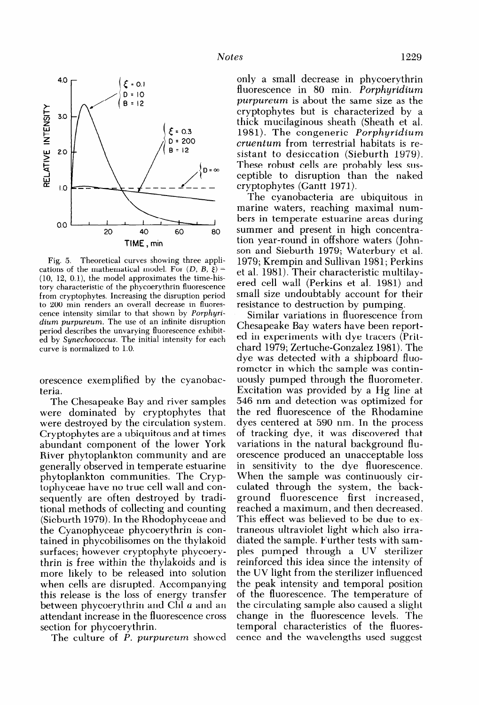

Fig. 5. Theoretical curves showing three applications of the mathematical model. For  $(D, B, \xi)$  = (10, 12, O.l), the model approximates the time-history characteristic of the phycoerythrin fluorescence from cryptophytes. Increasing the disruption period to 200 min renders an overall decrease in fluorescence intensity similar to that shown by Porphyri dium purpureum. The use of an infinite disruption period describes the unvarying fluorescence exhibited by Synechococcus. The initial intensity for each curve is normalized to 1.0.

orescence exemplified by the cyanobacteria.

The Chesapeake Bay and river samples were dominated by cryptophytes that were destroyed by the circulation system. Cryptophytes are a ubiquitous and at times abundant component of the lower York River phytoplankton community and are generally observed in temperate estuarine phytoplankton communities. The Cryptophyceae have no true cell wall and consequently are often destroyed by traditional methods of collecting and counting (Sieburth 1979). In the Rhodophyceae and the Cyanophyceae phycoerythrin is contained in phycobilisomes on the thylakoid surfaces; however cryptophyte phycoerythrin is free within the thylakoids and is more likely to be released into solution when cells are disrupted. Accompanying this release is the loss of energy transfer between phycoerythrin and Chl a and an attendant increase in the fluorescence cross section for phycoerythrin.

The culture of P. purpureum showed

only a small decrease in phycoerythrin fluorescence in 80 min. Porphyridium purpureum is about the same size as the cryptophytes but is characterized by a thick mucilaginous sheath (Sheath et al. 1981). The congeneric Porphyridium cruentum from terrestrial habitats is resistant to desiccation (Sieburth 1979). These robust cells are probably less susceptible to disruption than the naked cryptophytes (Gantt 1971).

The cyanobacteria are ubiquitous in marine waters, reaching maximal numbers in temperate estuarine areas during summer and present in high concentration year-round in off shore waters (Johnson and Sieburth 1979; Waterbury et al. 1979; Krempin and Sullivan 1981; Perkins et al. 1981). Their characteristic multilayered cell wall (Perkins et al. 1981) and small size undoubtably account for their resistance to destruction by pumping.

Similar variations in fluorescence from Chesapeake Bay waters have been reported in experiments with dye tracers (Pritchard 1979; Zertuche-Gonzalez 1981). The dye was detected with a shipboard fluorometer in which the sample was continuously pumped through the fluorometer. Excitation was provided by a Hg line at 546 nm and detection was optimized for the red fluorescence of the Rhodamine dyes centered at 590 nm. In the process of tracking dye, it was discovered that variations in the natural background fluorescence produced an unacceptable loss in sensitivity to the dye fluorescence. When the sample was continuously circulated through the system, the background fluorescence first increased, reached a maximum, and then decreased. This effect was believed to be due to extraneous ultraviolet light which also irradiated the sample. Further tests with samples pumped through a UV sterilizer reinforced this idea since the intensity of the UV light from the sterilizer influenced the peak intensity and temporal position of the fluorescence. The temperature of the circulating sample also caused a slight change in the fluorescence levels. The temporal characteristics of the fluorescence and the wavelengths used suggest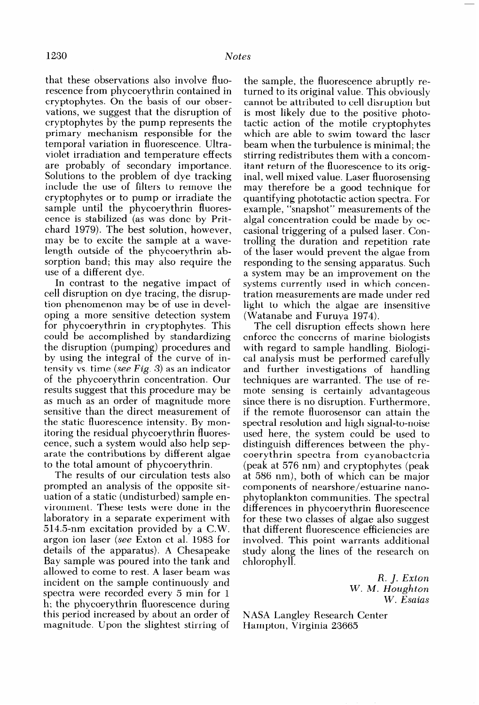that these observations also involve fluorescence from phycoerythrin contained in cryptophytes. On the basis of our observations, we suggest that the disruption of cryptophytes by the pump represents the primary mechanism responsible for the temporal variation in fluorescence. Ultraviolet irradiation and temperature effects are probably of secondary importance. Solutions to the problem of dye tracking include the use of filters to remove the cryptophytes or to pump or irradiate the sample until the phycoerythrin fluorescence is stabilized (as was done by Pritchard 1979). The best solution, however, may be to excite the sample at a wavelength outside of the phycoerythrin absorption band; this may also require the use of a different dye.

In contrast to the negative impact of cell disruption on dye tracing, the disruption phenomenon may be of use in developing a more sensitive detection system for phycoerythrin in cryptophytes. This could be accomplished by standardizing the disruption (pumping) procedures and by using the integral of the curve of intensity vs. time (see Fig. 3) as an indicator of the phycoerythrin concentration. Our results suggest that this procedure may be as much as an order of magnitude more sensitive than the direct measurement of the static fluorescence intensity. By monitoring the residual phycoerythrin fluorescence, such a system would also help separate the contributions by different algae to the total amount of phycoerythrin.

The results of our circulation tests also prompted an analysis of the opposite situation of a static (undisturbed) sample environment. These tests were done in the laboratory in a separate experiment with 514.5-nm excitation provided by a C.W. argon ion laser (see Exton et al. 1983 for details of the apparatus). A Chesapeake Bay sample was poured into the tank and allowed to come to rest. A laser beam was incident on the sample continuously and spectra were recorded every 5 min for 1 h; the phycoerythrin fluorescence during this period increased by about an order of magnitude. Upon the slightest stirring of

the sample, the fluorescence abruptly returned to its original value. This obviously cannot be attributed to cell disruption but is most likely due to the positive phototactic action of the motile cryptophytes which are able to swim toward the laser beam when the turbulence is minimal; the stirring redistributes them with a concomitant return of the fluorescence to its original, well mixed value. Laser fluorosensing may therefore be a good technique for quantifying phototactic action spectra. For example, "snapshot" measurements of the algal concentration could be made by occasional triggering of a pulsed laser. Controlling the duration and repetition rate of the laser would prevent the algae from responding to the sensing apparatus. Such a system may be an improvement on the systems currently used in which concentration measurements are made under red light to which the algae are insensitive (Watanabe and Furuya 1974).

The cell disruption effects shown here enforce the concerns of marine biologists with regard to sample handling. Biological analysis must be performed carefully and further investigations of handling techniques are warranted. The use of remote sensing is certainly advantageous since there is no disruption. Furthermore, if the remote fluorosensor can attain the spectral resolution and high signal-to-noise used here, the system could be used to distinguish differences between the phycoerythrin spectra from cyanobacteria (peak at 576 nm) and cryptophytes (peak at 586 nm), both of which can be major components of nearshore/estuarine nanophytoplankton communities. The spectral differences in phycoerythrin fluorescence for these two classes of algae also suggest that different fluorescence efficiencies are involved. This point warrants additional study along the lines of the research on chlorophyll.

> R. J. Exton W. M. Houghton W. Esaias

NASA Langley Research Center Hampton, Virginia 23665